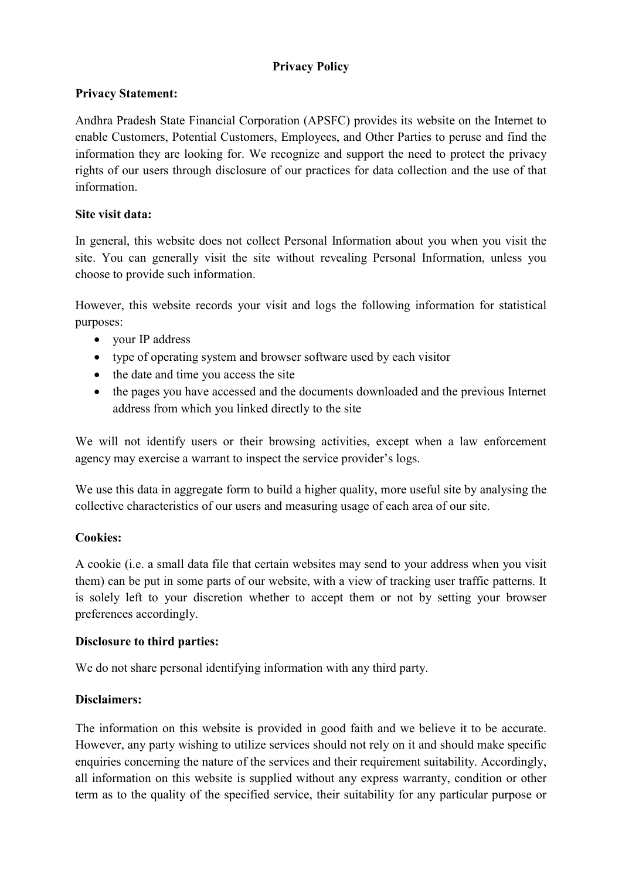# Privacy Policy

## Privacy Statement:

Andhra Pradesh State Financial Corporation (APSFC) provides its website on the Internet to enable Customers, Potential Customers, Employees, and Other Parties to peruse and find the information they are looking for. We recognize and support the need to protect the privacy rights of our users through disclosure of our practices for data collection and the use of that information.

#### Site visit data:

In general, this website does not collect Personal Information about you when you visit the site. You can generally visit the site without revealing Personal Information, unless you choose to provide such information.

However, this website records your visit and logs the following information for statistical purposes:

- vour IP address
- type of operating system and browser software used by each visitor
- the date and time you access the site
- the pages you have accessed and the documents downloaded and the previous Internet address from which you linked directly to the site

We will not identify users or their browsing activities, except when a law enforcement agency may exercise a warrant to inspect the service provider's logs.

We use this data in aggregate form to build a higher quality, more useful site by analysing the collective characteristics of our users and measuring usage of each area of our site.

## Cookies:

A cookie (i.e. a small data file that certain websites may send to your address when you visit them) can be put in some parts of our website, with a view of tracking user traffic patterns. It is solely left to your discretion whether to accept them or not by setting your browser preferences accordingly.

#### Disclosure to third parties:

We do not share personal identifying information with any third party.

## Disclaimers:

The information on this website is provided in good faith and we believe it to be accurate. However, any party wishing to utilize services should not rely on it and should make specific enquiries concerning the nature of the services and their requirement suitability. Accordingly, all information on this website is supplied without any express warranty, condition or other term as to the quality of the specified service, their suitability for any particular purpose or